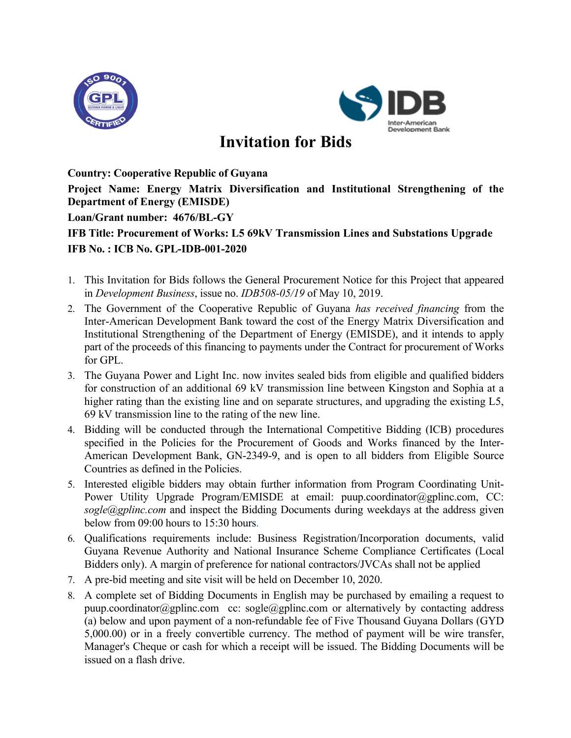



## **Invitation for Bids**

**Country: Cooperative Republic of Guyana**

**Project Name: Energy Matrix Diversification and Institutional Strengthening of the Department of Energy (EMISDE)**

**Loan/Grant number: 4676/BL-GY**

## **IFB Title: Procurement of Works: L5 69kV Transmission Lines and Substations Upgrade IFB No. : ICB No. GPL-IDB-001-2020**

- 1. This Invitation for Bids follows the General Procurement Notice for this Project that appeared in *Development Business*, issue no. *IDB508-05/19* of May 10, 2019.
- 2. The Government of the Cooperative Republic of Guyana *has received financing* from the Inter-American Development Bank toward the cost of the Energy Matrix Diversification and Institutional Strengthening of the Department of Energy (EMISDE), and it intends to apply part of the proceeds of this financing to payments under the Contract for procurement of Works for GPL.
- 3. The Guyana Power and Light Inc. now invites sealed bids from eligible and qualified bidders for construction of an additional 69 kV transmission line between Kingston and Sophia at a higher rating than the existing line and on separate structures, and upgrading the existing L5, 69 kV transmission line to the rating of the new line.
- 4. Bidding will be conducted through the International Competitive Bidding (ICB) procedures specified in the Policies for the Procurement of Goods and Works financed by the Inter-American Development Bank, GN-2349-9, and is open to all bidders from Eligible Source Countries as defined in the Policies.
- 5. Interested eligible bidders may obtain further information from Program Coordinating Unit-Power Utility Upgrade Program/EMISDE at email: puup.coordinator@gplinc.com, CC: *sogle@gplinc.com* and inspect the Bidding Documents during weekdays at the address given below from 09:00 hours to 15:30 hours.
- 6. Qualifications requirements include: Business Registration/Incorporation documents, valid Guyana Revenue Authority and National Insurance Scheme Compliance Certificates (Local Bidders only). A margin of preference for national contractors/JVCAs shall not be applied
- 7. A pre-bid meeting and site visit will be held on December 10, 2020.
- 8. A complete set of Bidding Documents in English may be purchased by emailing a request to puup.coordinator@gplinc.com cc: sogle@gplinc.com or alternatively by contacting address (a) below and upon payment of a non-refundable fee of Five Thousand Guyana Dollars (GYD 5,000.00) or in a freely convertible currency. The method of payment will be wire transfer, Manager's Cheque or cash for which a receipt will be issued. The Bidding Documents will be issued on a flash drive.